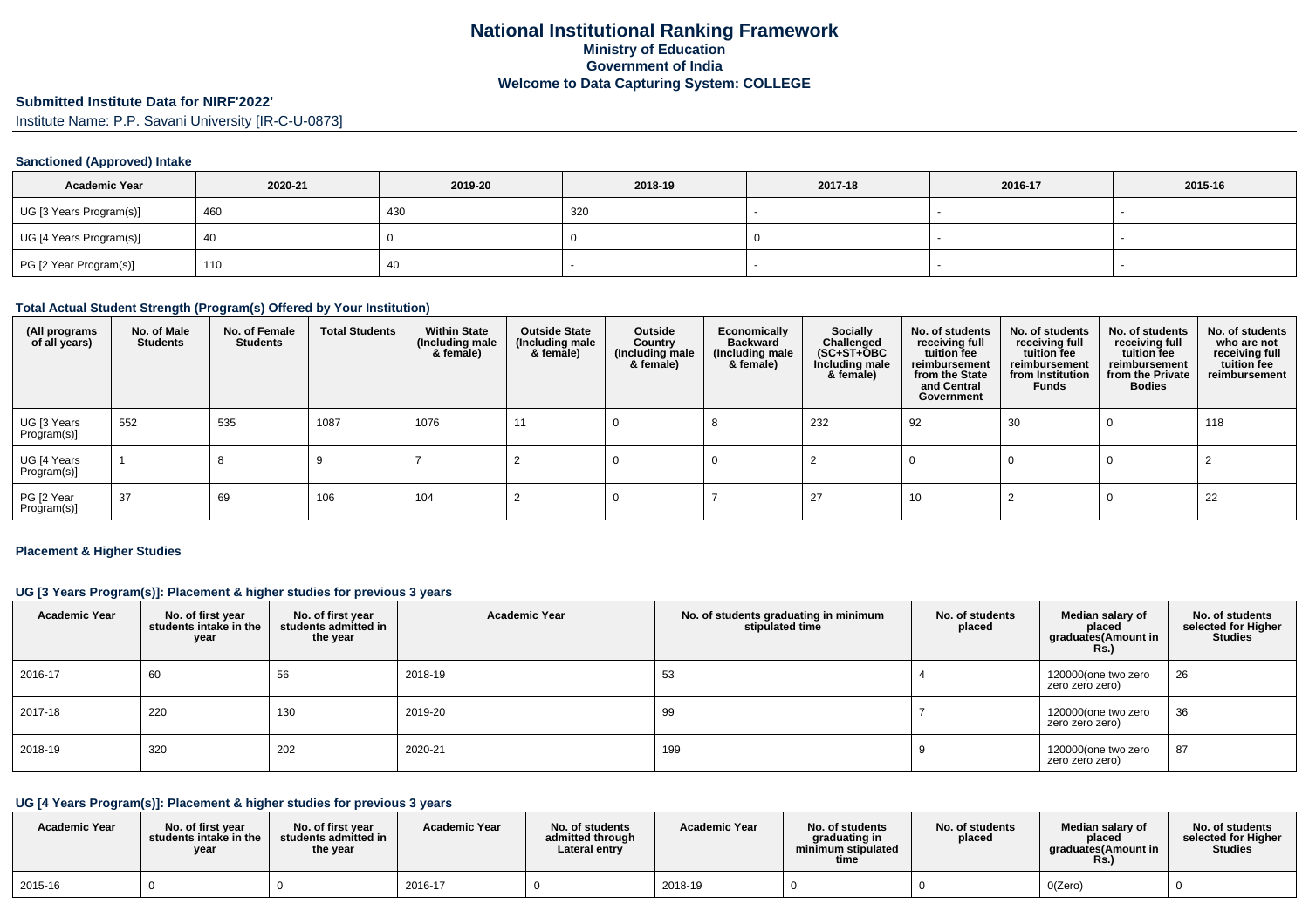# **Submitted Institute Data for NIRF'2022'**

Institute Name: P.P. Savani University [IR-C-U-0873]

### **Sanctioned (Approved) Intake**

| <b>Academic Year</b>    | 2020-21 | 2019-20 | 2018-19 | 2017-18 | 2016-17 | 2015-16 |
|-------------------------|---------|---------|---------|---------|---------|---------|
| UG [3 Years Program(s)] | 460     | 430     | 320     |         |         |         |
| UG [4 Years Program(s)] | 40      |         |         |         |         |         |
| PG [2 Year Program(s)]  | 110     | 40      |         |         |         |         |

#### **Total Actual Student Strength (Program(s) Offered by Your Institution)**

| (All programs<br>of all years) | No. of Male<br><b>Students</b> | No. of Female<br><b>Students</b> | <b>Total Students</b> | <b>Within State</b><br>(Including male<br>& female) | <b>Outside State</b><br>(Including male<br>& female) | Outside<br>Country<br>(Including male<br>& female) | Economically<br><b>Backward</b><br>(Including male<br>& female) | <b>Socially</b><br>Challenged<br>$(SC+ST+OBC)$<br>Including male<br>& female) | No. of students<br>receiving full<br>tuition fee<br>reimbursement<br>from the State<br>and Central<br>Government | No. of students<br>receiving full<br>tuition fee<br>reimbursement<br>from Institution<br><b>Funds</b> | No. of students<br>receiving full<br>tuition fee<br>reimbursement<br>from the Private<br><b>Bodies</b> | No. of students<br>who are not<br>receiving full<br>tuition fee<br>reimbursement |
|--------------------------------|--------------------------------|----------------------------------|-----------------------|-----------------------------------------------------|------------------------------------------------------|----------------------------------------------------|-----------------------------------------------------------------|-------------------------------------------------------------------------------|------------------------------------------------------------------------------------------------------------------|-------------------------------------------------------------------------------------------------------|--------------------------------------------------------------------------------------------------------|----------------------------------------------------------------------------------|
| UG [3 Years<br>Program(s)]     | 552                            | 535                              | 1087                  | 1076                                                | 11                                                   |                                                    |                                                                 | 232                                                                           | 92                                                                                                               | 30                                                                                                    | 0                                                                                                      | 118                                                                              |
| UG [4 Years<br>Program(s)]     |                                | 8                                |                       |                                                     |                                                      |                                                    |                                                                 |                                                                               |                                                                                                                  |                                                                                                       |                                                                                                        |                                                                                  |
| PG [2 Year<br>Program(s)]      | 37                             | 69                               | 106                   | 104                                                 |                                                      |                                                    |                                                                 | 27                                                                            | 10                                                                                                               |                                                                                                       |                                                                                                        | 22                                                                               |

#### **Placement & Higher Studies**

#### **UG [3 Years Program(s)]: Placement & higher studies for previous 3 years**

| <b>Academic Year</b> | No. of first year<br>students intake in the<br>year | No. of first year<br>students admitted in<br>the year | <b>Academic Year</b> | No. of students graduating in minimum<br>stipulated time | No. of students<br>placed | Median salary of<br>placed<br>graduates(Amount in<br>Rs.) | No. of students<br>selected for Higher<br><b>Studies</b> |
|----------------------|-----------------------------------------------------|-------------------------------------------------------|----------------------|----------------------------------------------------------|---------------------------|-----------------------------------------------------------|----------------------------------------------------------|
| 2016-17              | 60                                                  | 56                                                    | 2018-19              | 53                                                       |                           | 120000(one two zero<br>zero zero zero)                    | 26                                                       |
| 2017-18              | 220                                                 | 130                                                   | 2019-20              | 99                                                       |                           | 120000(one two zero<br>zero zero zero)                    | 36                                                       |
| 2018-19              | 320                                                 | 202                                                   | 2020-21              | 199                                                      |                           | 120000(one two zero<br>zero zero zero)                    | 87                                                       |

## **UG [4 Years Program(s)]: Placement & higher studies for previous 3 years**

| <b>Academic Year</b> | No. of first vear<br>students intake in the<br>vear | No. of first year<br>students admitted in<br>the year | <b>Academic Year</b> | No. of students<br>admitted through<br>Lateral entry | <b>Academic Year</b> | No. of students<br>graduating in<br>minimum stipulated<br>time | No. of students<br>placed | Median salary of<br>placed<br>araduates(Amount in<br><b>Rs.</b> ) | No. of students<br>selected for Higher<br><b>Studies</b> |
|----------------------|-----------------------------------------------------|-------------------------------------------------------|----------------------|------------------------------------------------------|----------------------|----------------------------------------------------------------|---------------------------|-------------------------------------------------------------------|----------------------------------------------------------|
| 2015-16              |                                                     |                                                       | 2016-17              |                                                      | 2018-19              |                                                                |                           | O(Zero)                                                           |                                                          |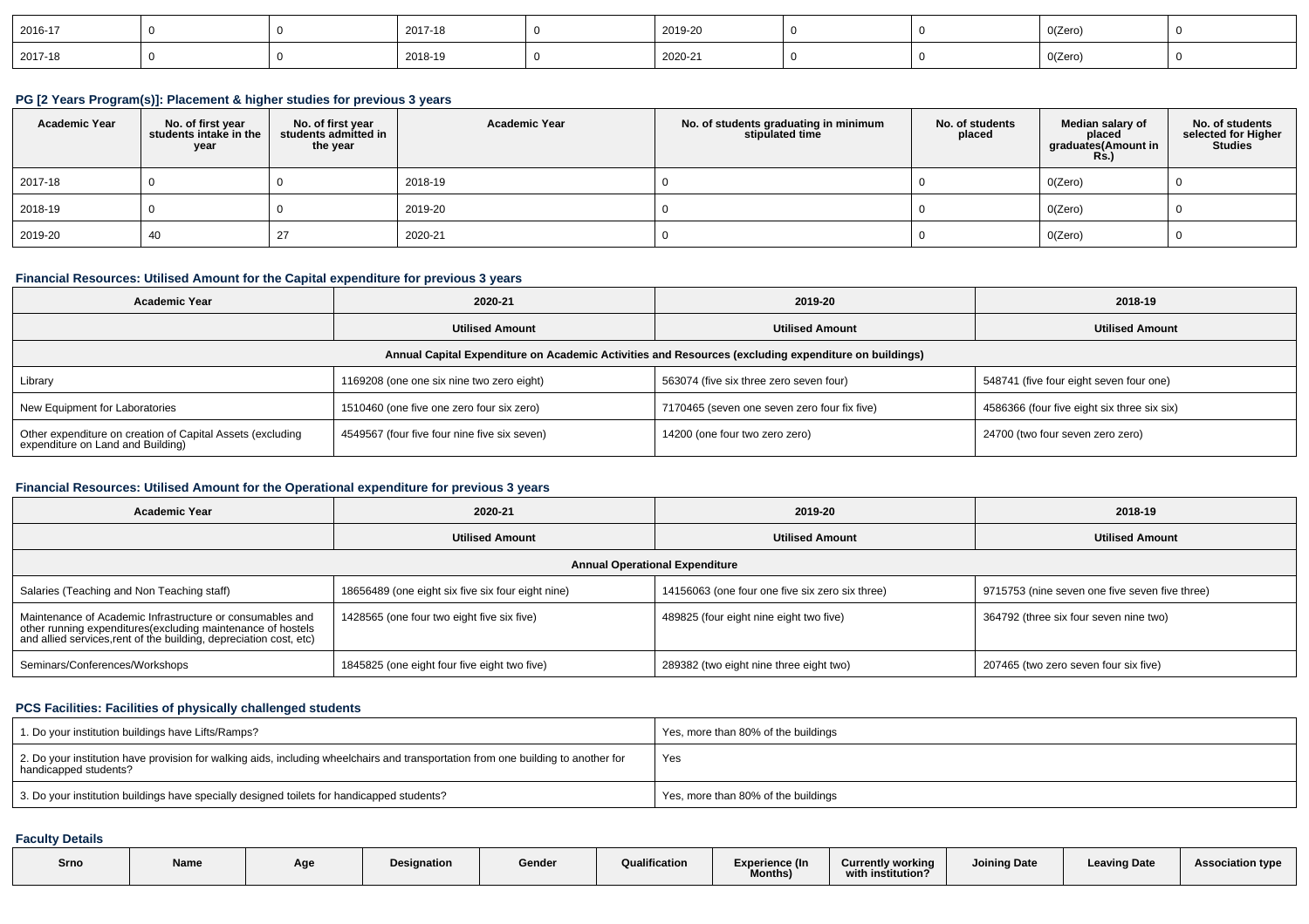| 2016-17 |  | 2017-18 | 2019-20 |  | 0(Zero)                                      |  |
|---------|--|---------|---------|--|----------------------------------------------|--|
| 2017-18 |  | 2018-19 | 2020-21 |  | O(Zero)<br>and the state of the state of the |  |

#### **PG [2 Years Program(s)]: Placement & higher studies for previous 3 years**

| <b>Academic Year</b> | No. of first year<br>students intake in the<br>year | No. of first year<br>students admitted in<br>the year | <b>Academic Year</b> | No. of students graduating in minimum<br>stipulated time | No. of students<br>placed | Median salary of<br>placed<br>graduates(Amount in<br><b>Rs.)</b> | No. of students<br>selected for Higher<br><b>Studies</b> |
|----------------------|-----------------------------------------------------|-------------------------------------------------------|----------------------|----------------------------------------------------------|---------------------------|------------------------------------------------------------------|----------------------------------------------------------|
| 2017-18              |                                                     |                                                       | 2018-19              |                                                          |                           | O(Zero)                                                          |                                                          |
| 2018-19              |                                                     |                                                       | 2019-20              |                                                          |                           | O(Zero)                                                          |                                                          |
| 2019-20              | 40                                                  | 27                                                    | 2020-21              |                                                          |                           | O(Zero)                                                          |                                                          |

## **Financial Resources: Utilised Amount for the Capital expenditure for previous 3 years**

| <b>Academic Year</b>                                                                                 | 2020-21                                      | 2019-20                                      | 2018-19                                     |  |  |  |  |  |
|------------------------------------------------------------------------------------------------------|----------------------------------------------|----------------------------------------------|---------------------------------------------|--|--|--|--|--|
| <b>Utilised Amount</b>                                                                               |                                              | <b>Utilised Amount</b>                       | <b>Utilised Amount</b>                      |  |  |  |  |  |
| Annual Capital Expenditure on Academic Activities and Resources (excluding expenditure on buildings) |                                              |                                              |                                             |  |  |  |  |  |
| Library                                                                                              | 1169208 (one one six nine two zero eight)    | 563074 (five six three zero seven four)      | 548741 (five four eight seven four one)     |  |  |  |  |  |
| New Equipment for Laboratories                                                                       | 1510460 (one five one zero four six zero)    | 7170465 (seven one seven zero four fix five) | 4586366 (four five eight six three six six) |  |  |  |  |  |
| Other expenditure on creation of Capital Assets (excluding<br>expenditure on Land and Building)      | 4549567 (four five four nine five six seven) | 14200 (one four two zero zero)               | 24700 (two four seven zero zero)            |  |  |  |  |  |

## **Financial Resources: Utilised Amount for the Operational expenditure for previous 3 years**

| <b>Academic Year</b>                                                                                                                                                                           | 2020-21                                           | 2019-20                                         | 2018-19                                        |
|------------------------------------------------------------------------------------------------------------------------------------------------------------------------------------------------|---------------------------------------------------|-------------------------------------------------|------------------------------------------------|
| <b>Utilised Amount</b>                                                                                                                                                                         |                                                   | <b>Utilised Amount</b>                          | <b>Utilised Amount</b>                         |
|                                                                                                                                                                                                |                                                   | <b>Annual Operational Expenditure</b>           |                                                |
| Salaries (Teaching and Non Teaching staff)                                                                                                                                                     | 18656489 (one eight six five six four eight nine) | 14156063 (one four one five six zero six three) | 9715753 (nine seven one five seven five three) |
| Maintenance of Academic Infrastructure or consumables and<br>other running expenditures(excluding maintenance of hostels<br>and allied services, rent of the building, depreciation cost, etc) | 1428565 (one four two eight five six five)        | 489825 (four eight nine eight two five)         | 364792 (three six four seven nine two)         |
| Seminars/Conferences/Workshops                                                                                                                                                                 | 1845825 (one eight four five eight two five)      | 289382 (two eight nine three eight two)         | 207465 (two zero seven four six five)          |

### **PCS Facilities: Facilities of physically challenged students**

| 1. Do your institution buildings have Lifts/Ramps?                                                                                                           | Yes, more than 80% of the buildings |
|--------------------------------------------------------------------------------------------------------------------------------------------------------------|-------------------------------------|
| 2. Do your institution have provision for walking aids, including wheelchairs and transportation from one building to another for<br>  handicapped students? | Yes                                 |
| 3. Do your institution buildings have specially designed toilets for handicapped students?                                                                   | Yes, more than 80% of the buildings |

### **Faculty Details**

| Srno | Name | Age | Designation | Gender | Qualification | Experience (In<br><b>Months</b> ) | <b>Currently working</b><br>with institution? | <b>Joining Date</b> | <b>Leaving Date</b> | <b>Association type</b> |
|------|------|-----|-------------|--------|---------------|-----------------------------------|-----------------------------------------------|---------------------|---------------------|-------------------------|
|      |      |     |             |        |               |                                   |                                               |                     |                     |                         |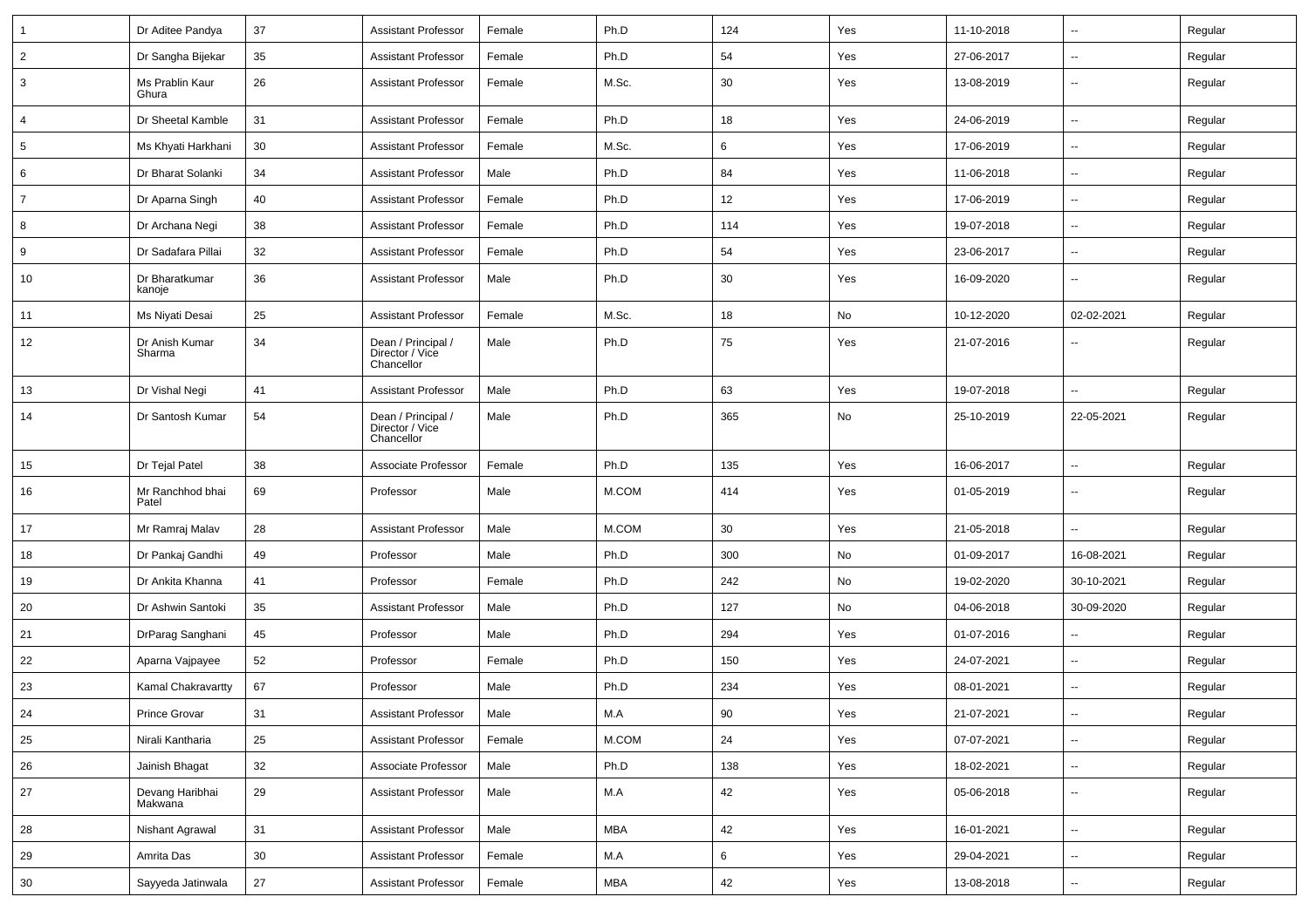| $\mathbf{1}$    | Dr Aditee Pandya           | 37 | <b>Assistant Professor</b>                          | Female | Ph.D       | 124    | Yes | 11-10-2018 | ⊶.                       | Regular |
|-----------------|----------------------------|----|-----------------------------------------------------|--------|------------|--------|-----|------------|--------------------------|---------|
| $\overline{2}$  | Dr Sangha Bijekar          | 35 | <b>Assistant Professor</b>                          | Female | Ph.D       | 54     | Yes | 27-06-2017 | -−                       | Regular |
| 3               | Ms Prablin Kaur<br>Ghura   | 26 | <b>Assistant Professor</b>                          | Female | M.Sc.      | 30     | Yes | 13-08-2019 | ⊷.                       | Regular |
| $\overline{4}$  | Dr Sheetal Kamble          | 31 | <b>Assistant Professor</b>                          | Female | Ph.D       | 18     | Yes | 24-06-2019 | $\sim$                   | Regular |
| $5\phantom{.0}$ | Ms Khyati Harkhani         | 30 | <b>Assistant Professor</b>                          | Female | M.Sc.      | 6      | Yes | 17-06-2019 | ⊶.                       | Regular |
| 6               | Dr Bharat Solanki          | 34 | <b>Assistant Professor</b>                          | Male   | Ph.D       | 84     | Yes | 11-06-2018 | -−                       | Regular |
| $\overline{7}$  | Dr Aparna Singh            | 40 | <b>Assistant Professor</b>                          | Female | Ph.D       | 12     | Yes | 17-06-2019 | Ξ.                       | Regular |
| 8               | Dr Archana Negi            | 38 | <b>Assistant Professor</b>                          | Female | Ph.D       | 114    | Yes | 19-07-2018 | $\overline{\phantom{a}}$ | Regular |
| 9               | Dr Sadafara Pillai         | 32 | Assistant Professor                                 | Female | Ph.D       | 54     | Yes | 23-06-2017 | -−                       | Regular |
| 10              | Dr Bharatkumar<br>kanoje   | 36 | <b>Assistant Professor</b>                          | Male   | Ph.D       | 30     | Yes | 16-09-2020 | ⊷.                       | Regular |
| 11              | Ms Niyati Desai            | 25 | <b>Assistant Professor</b>                          | Female | M.Sc.      | 18     | No  | 10-12-2020 | 02-02-2021               | Regular |
| 12              | Dr Anish Kumar<br>Sharma   | 34 | Dean / Principal /<br>Director / Vice<br>Chancellor | Male   | Ph.D       | 75     | Yes | 21-07-2016 |                          | Regular |
| 13              | Dr Vishal Negi             | 41 | <b>Assistant Professor</b>                          | Male   | Ph.D       | 63     | Yes | 19-07-2018 | $\overline{\phantom{a}}$ | Regular |
| 14              | Dr Santosh Kumar           | 54 | Dean / Principal /<br>Director / Vice<br>Chancellor | Male   | Ph.D       | 365    | No  | 25-10-2019 | 22-05-2021               | Regular |
| 15              | Dr Tejal Patel             | 38 | Associate Professor                                 | Female | Ph.D       | 135    | Yes | 16-06-2017 | $\sim$                   | Regular |
| 16              | Mr Ranchhod bhai<br>Patel  | 69 | Professor                                           | Male   | M.COM      | 414    | Yes | 01-05-2019 | --                       | Regular |
| 17              | Mr Ramraj Malav            | 28 | <b>Assistant Professor</b>                          | Male   | M.COM      | 30     | Yes | 21-05-2018 |                          | Regular |
| 18              | Dr Pankaj Gandhi           | 49 | Professor                                           | Male   | Ph.D       | 300    | No  | 01-09-2017 | 16-08-2021               | Regular |
| 19              | Dr Ankita Khanna           | 41 | Professor                                           | Female | Ph.D       | 242    | No  | 19-02-2020 | 30-10-2021               | Regular |
| 20              | Dr Ashwin Santoki          | 35 | <b>Assistant Professor</b>                          | Male   | Ph.D       | 127    | No  | 04-06-2018 | 30-09-2020               | Regular |
| 21              | DrParag Sanghani           | 45 | Professor                                           | Male   | Ph.D       | 294    | Yes | 01-07-2016 | $\overline{\phantom{a}}$ | Regular |
| 22              | Aparna Vajpayee            | 52 | Professor                                           | Female | Ph.D       | 150    | Yes | 24-07-2021 | ⊶.                       | Regular |
| 23              | Kamal Chakravartty         | 67 | Professor                                           | Male   | Ph.D       | 234    | Yes | 08-01-2021 | ⊶.                       | Regular |
| 24              | Prince Grovar              | 31 | Assistant Professor                                 | Male   | M.A        | $90\,$ | Yes | 21-07-2021 |                          | Regular |
| 25              | Nirali Kantharia           | 25 | <b>Assistant Professor</b>                          | Female | M.COM      | 24     | Yes | 07-07-2021 | ц,                       | Regular |
| 26              | Jainish Bhagat             | 32 | Associate Professor                                 | Male   | Ph.D       | 138    | Yes | 18-02-2021 | Щ,                       | Regular |
| $27\,$          | Devang Haribhai<br>Makwana | 29 | <b>Assistant Professor</b>                          | Male   | M.A        | 42     | Yes | 05-06-2018 | н,                       | Regular |
| 28              | Nishant Agrawal            | 31 | <b>Assistant Professor</b>                          | Male   | <b>MBA</b> | 42     | Yes | 16-01-2021 | Щ,                       | Regular |
| 29              | Amrita Das                 | 30 | <b>Assistant Professor</b>                          | Female | M.A        | 6      | Yes | 29-04-2021 | Щ,                       | Regular |
| $30\,$          | Sayyeda Jatinwala          | 27 | <b>Assistant Professor</b>                          | Female | MBA        | 42     | Yes | 13-08-2018 | Щ,                       | Regular |